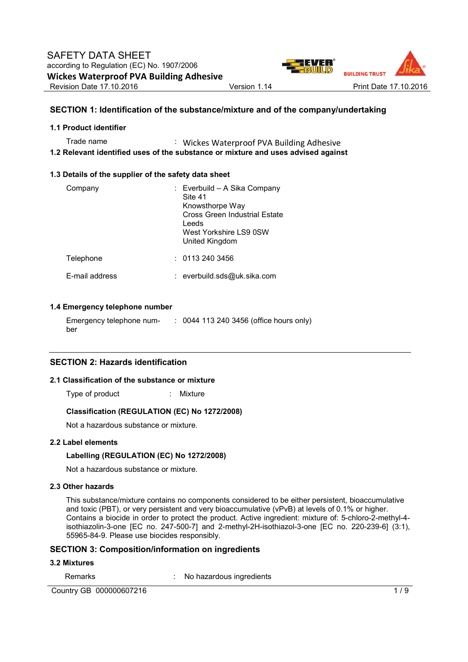

# **SECTION 1: Identification of the substance/mixture and of the company/undertaking**

#### **1.1 Product identifier**

Trade name : Wickes Waterproof PVA Building Adhesive **1.2 Relevant identified uses of the substance or mixture and uses advised against** 

## **1.3 Details of the supplier of the safety data sheet**

| Company               | : Everbuild – A Sika Company<br>Site 41<br>Knowsthorpe Way<br>Cross Green Industrial Estate<br>Leeds<br>West Yorkshire LS9 0SW<br>United Kingdom |
|-----------------------|--------------------------------------------------------------------------------------------------------------------------------------------------|
| Telephone             | : 01132403456                                                                                                                                    |
| <b>F-mail address</b> | : everbuild.sds@uk.sika.com                                                                                                                      |

## **1.4 Emergency telephone number**

Emergency telephone number : 0044 113 240 3456 (office hours only)

## **SECTION 2: Hazards identification**

# **2.1 Classification of the substance or mixture**

Type of product : Mixture

# **Classification (REGULATION (EC) No 1272/2008)**

Not a hazardous substance or mixture.

# **2.2 Label elements**

# **Labelling (REGULATION (EC) No 1272/2008)**

Not a hazardous substance or mixture.

# **2.3 Other hazards**

This substance/mixture contains no components considered to be either persistent, bioaccumulative and toxic (PBT), or very persistent and very bioaccumulative (vPvB) at levels of 0.1% or higher. Contains a biocide in order to protect the product. Active ingredient: mixture of: 5-chloro-2-methyl-4 isothiazolin-3-one [EC no. 247-500-7] and 2-methyl-2H-isothiazol-3-one [EC no. 220-239-6] (3:1), 55965-84-9. Please use biocides responsibly.

## **SECTION 3: Composition/information on ingredients**

#### **3.2 Mixtures**

Remarks : No hazardous ingredients

Country GB 000000607216 1/9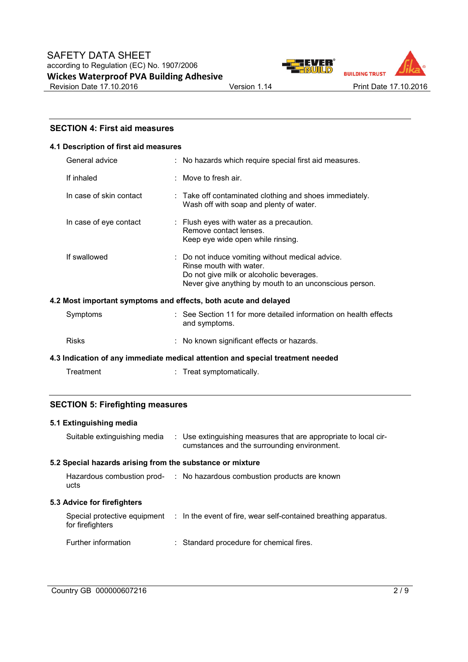



# **SECTION 4: First aid measures**

# **4.1 Description of first aid measures**

| General advice          | : No hazards which require special first aid measures.                                                                                                                            |
|-------------------------|-----------------------------------------------------------------------------------------------------------------------------------------------------------------------------------|
| If inhaled              | $\pm$ Move to fresh air.                                                                                                                                                          |
| In case of skin contact | : Take off contaminated clothing and shoes immediately.<br>Wash off with soap and plenty of water.                                                                                |
| In case of eye contact  | : Flush eyes with water as a precaution.<br>Remove contact lenses.<br>Keep eye wide open while rinsing.                                                                           |
| If swallowed            | : Do not induce vomiting without medical advice.<br>Rinse mouth with water.<br>Do not give milk or alcoholic beverages.<br>Never give anything by mouth to an unconscious person. |
|                         | 4.2 Most important symptoms and effects, both acute and delayed                                                                                                                   |
| Symptoms                | : See Section 11 for more detailed information on health effects                                                                                                                  |

| $v \sim$ , $v \sim$ , $v \sim$ | ייסטווט וועשטוו דו דער וועוווען וועסט איטווי וטו דו דוסטוער טטט<br>and symptoms. |
|--------------------------------|----------------------------------------------------------------------------------|
| Risks                          | : No known significant effects or hazards.                                       |

# **4.3 Indication of any immediate medical attention and special treatment needed**

| Treatment | Treat symptomatically. |
|-----------|------------------------|
|-----------|------------------------|

# **SECTION 5: Firefighting measures**

# **5.1 Extinguishing media**

| Suitable extinguishing media                              | : Use extinguishing measures that are appropriate to local cir-<br>cumstances and the surrounding environment. |
|-----------------------------------------------------------|----------------------------------------------------------------------------------------------------------------|
| 5.2 Special hazards arising from the substance or mixture |                                                                                                                |
| ucts                                                      | Hazardous combustion prod- : No hazardous combustion products are known                                        |
|                                                           |                                                                                                                |
| 5.3 Advice for firefighters                               |                                                                                                                |
| for firefighters                                          | Special protective equipment : In the event of fire, wear self-contained breathing apparatus.                  |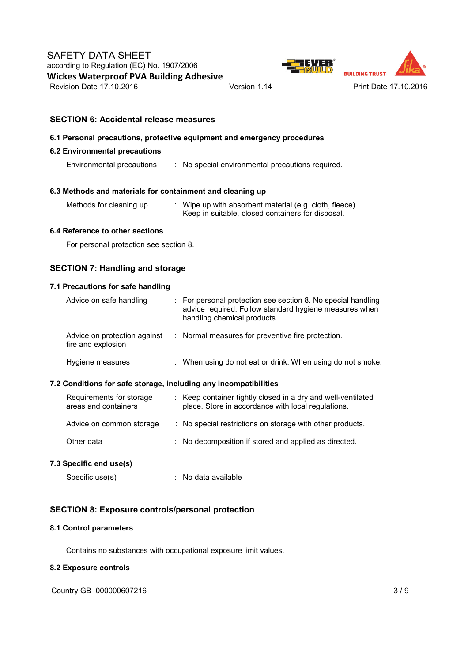

# **SECTION 6: Accidental release measures**

#### **6.1 Personal precautions, protective equipment and emergency procedures**

#### **6.2 Environmental precautions**

Environmental precautions : No special environmental precautions required.

#### **6.3 Methods and materials for containment and cleaning up**

- 
- Methods for cleaning up : Wipe up with absorbent material (e.g. cloth, fleece). Keep in suitable, closed containers for disposal.

#### **6.4 Reference to other sections**

For personal protection see section 8.

# **SECTION 7: Handling and storage**

#### **7.1 Precautions for safe handling**

| Advice on safe handling                                          | : For personal protection see section 8. No special handling<br>advice required. Follow standard hygiene measures when<br>handling chemical products |
|------------------------------------------------------------------|------------------------------------------------------------------------------------------------------------------------------------------------------|
| Advice on protection against<br>fire and explosion               | : Normal measures for preventive fire protection.                                                                                                    |
| Hygiene measures                                                 | : When using do not eat or drink. When using do not smoke.                                                                                           |
| 7.2 Conditions for safe storage, including any incompatibilities |                                                                                                                                                      |
| Requirements for storage                                         | : Keep container tightly closed in a dry and well-ventilated                                                                                         |

| areas and containers     | place. Store in accordance with local regulations.        |
|--------------------------|-----------------------------------------------------------|
| Advice on common storage | : No special restrictions on storage with other products. |
| Other data               | : No decomposition if stored and applied as directed.     |
| 7.3 Specific end use(s)  |                                                           |
| Specific use(s)          | : No data available                                       |

# **SECTION 8: Exposure controls/personal protection**

## **8.1 Control parameters**

Contains no substances with occupational exposure limit values.

## **8.2 Exposure controls**

Country GB 000000607216 3/9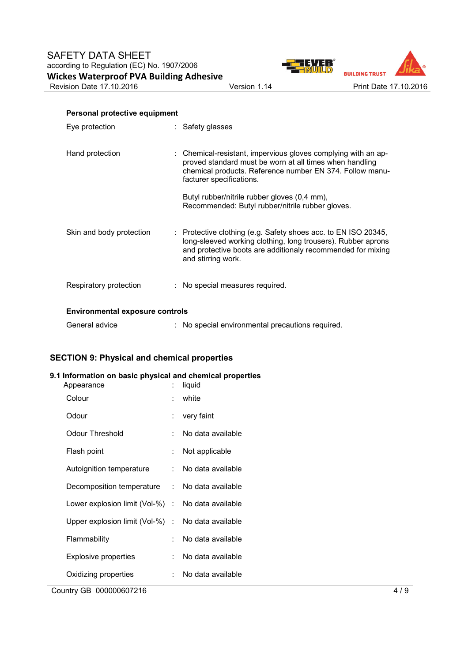

| Personal protective equipment          |                                                                                                                                                                                                                     |  |  |  |
|----------------------------------------|---------------------------------------------------------------------------------------------------------------------------------------------------------------------------------------------------------------------|--|--|--|
| Eye protection                         | : Safety glasses                                                                                                                                                                                                    |  |  |  |
| Hand protection                        | : Chemical-resistant, impervious gloves complying with an ap-<br>proved standard must be worn at all times when handling<br>chemical products. Reference number EN 374. Follow manu-<br>facturer specifications.    |  |  |  |
|                                        | Butyl rubber/nitrile rubber gloves (0,4 mm),<br>Recommended: Butyl rubber/nitrile rubber gloves.                                                                                                                    |  |  |  |
| Skin and body protection               | : Protective clothing (e.g. Safety shoes acc. to EN ISO 20345,<br>long-sleeved working clothing, long trousers). Rubber aprons<br>and protective boots are additionaly recommended for mixing<br>and stirring work. |  |  |  |
| Respiratory protection                 | : No special measures required.                                                                                                                                                                                     |  |  |  |
| <b>Environmental exposure controls</b> |                                                                                                                                                                                                                     |  |  |  |
| General advice                         | : No special environmental precautions required.                                                                                                                                                                    |  |  |  |

# **SECTION 9: Physical and chemical properties**

# **9.1 Information on basic physical and chemical properties**

| Country GB 000000607216                           |    |                   | 4/9 |
|---------------------------------------------------|----|-------------------|-----|
| Oxidizing properties                              |    | No data available |     |
| <b>Explosive properties</b>                       |    | No data available |     |
| Flammability                                      |    | No data available |     |
| Upper explosion limit (Vol-%) :                   |    | No data available |     |
| Lower explosion limit (Vol-%) : No data available |    |                   |     |
| Decomposition temperature                         | t. | No data available |     |
| Autoignition temperature                          | t. | No data available |     |
| Flash point                                       |    | Not applicable    |     |
| <b>Odour Threshold</b>                            |    | No data available |     |
| Odour                                             |    | very faint        |     |
| Colour                                            |    | white             |     |
| Appearance                                        | t. | liquid            |     |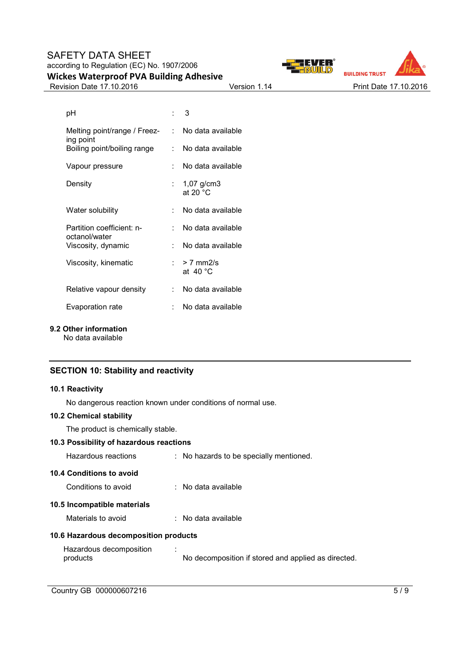



Revision Date 17.10.2016 **Version 1.14** Version 1.14 Print Date 17.10.2016

| рH                                         |     | $\therefore$ 3                     |
|--------------------------------------------|-----|------------------------------------|
| Melting point/range / Freez-<br>ing point  |     | : No data available                |
| Boiling point/boiling range                | t.  | No data available                  |
| Vapour pressure                            |     | No data available                  |
| Density                                    |     | : $1,07$ g/cm3<br>at 20 $°C$       |
| Water solubility                           |     | No data available                  |
| Partition coefficient: n-<br>octanol/water | × 1 | No data available                  |
| Viscosity, dynamic                         |     | No data available                  |
| Viscosity, kinematic                       |     | : $> 7$ mm2/s<br>at $40^{\circ}$ C |
| Relative vapour density                    |     | No data available                  |
| Evaporation rate                           |     | No data available                  |

**9.2 Other information** 

No data available

# **SECTION 10: Stability and reactivity**

## **10.1 Reactivity**

No dangerous reaction known under conditions of normal use.

# **10.2 Chemical stability**

The product is chemically stable.

# **10.3 Possibility of hazardous reactions**

| Hazardous reactions                             | : No hazards to be specially mentioned. |
|-------------------------------------------------|-----------------------------------------|
| 10.4 Conditions to avoid<br>Conditions to avoid | : No data available                     |
| 10.5 Incompatible materials                     |                                         |
| Materials to avoid                              | $:$ No data available                   |
| 10.6 Hazardous decomposition products           |                                         |
| Hazardous decomposition                         |                                         |

No decomposition if stored and applied as directed.

products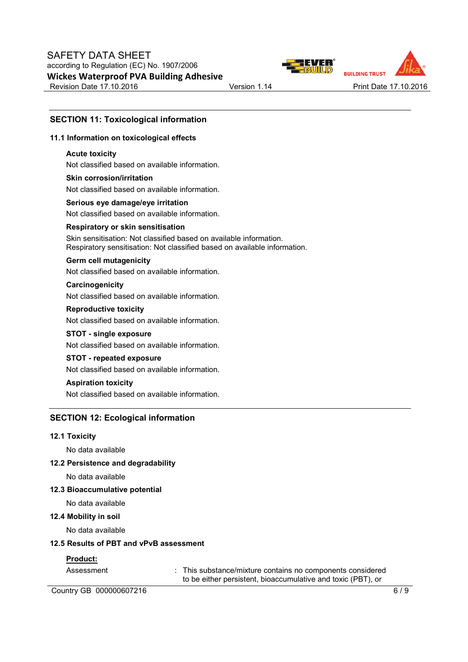



# **SECTION 11: Toxicological information**

## **11.1 Information on toxicological effects**

## **Acute toxicity**

Not classified based on available information.

# **Skin corrosion/irritation** Not classified based on available information.

**Serious eye damage/eye irritation** Not classified based on available information.

#### **Respiratory or skin sensitisation**

Skin sensitisation: Not classified based on available information. Respiratory sensitisation: Not classified based on available information.

#### **Germ cell mutagenicity**

Not classified based on available information.

# **Carcinogenicity**

Not classified based on available information.

## **Reproductive toxicity**

Not classified based on available information.

# **STOT - single exposure**

Not classified based on available information.

# **STOT - repeated exposure**

Not classified based on available information.

## **Aspiration toxicity**

Not classified based on available information.

# **SECTION 12: Ecological information**

#### **12.1 Toxicity**

No data available

## **12.2 Persistence and degradability**

No data available

## **12.3 Bioaccumulative potential**

No data available

#### **12.4 Mobility in soil**

No data available

#### **12.5 Results of PBT and vPvB assessment**

## **Product:**

Assessment : This substance/mixture contains no components considered to be either persistent, bioaccumulative and toxic (PBT), or

Country GB 000000607216 6/9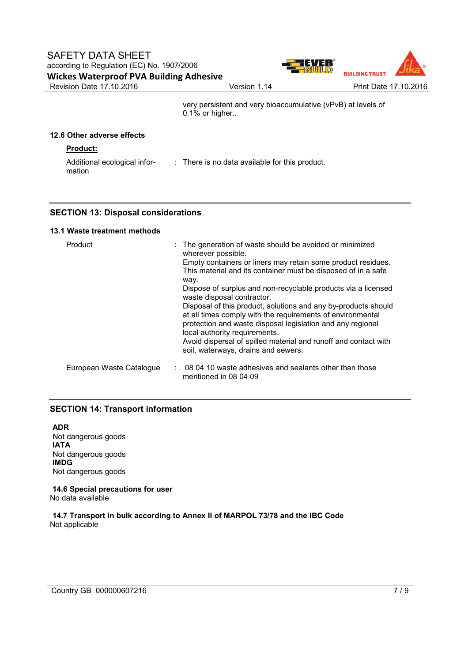

very persistent and very bioaccumulative (vPvB) at levels of 0.1% or higher..

# **12.6 Other adverse effects**

# **Product:**

Additional ecological information : There is no data available for this product.

# **SECTION 13: Disposal considerations**

# **13.1 Waste treatment methods**

| Product                  | : The generation of waste should be avoided or minimized<br>wherever possible.                                                                                                                                              |
|--------------------------|-----------------------------------------------------------------------------------------------------------------------------------------------------------------------------------------------------------------------------|
|                          | Empty containers or liners may retain some product residues.<br>This material and its container must be disposed of in a safe                                                                                               |
|                          | way.<br>Dispose of surplus and non-recyclable products via a licensed<br>waste disposal contractor.                                                                                                                         |
|                          | Disposal of this product, solutions and any by-products should<br>at all times comply with the requirements of environmental<br>protection and waste disposal legislation and any regional<br>local authority requirements. |
|                          | Avoid dispersal of spilled material and runoff and contact with<br>soil, waterways, drains and sewers.                                                                                                                      |
| European Waste Catalogue | 08 04 10 waste adhesives and sealants other than those<br>mentioned in 08 04 09                                                                                                                                             |

# **SECTION 14: Transport information**

**ADR** Not dangerous goods **IATA** Not dangerous goods **IMDG** Not dangerous goods

**14.6 Special precautions for user** No data available

**14.7 Transport in bulk according to Annex II of MARPOL 73/78 and the IBC Code** Not applicable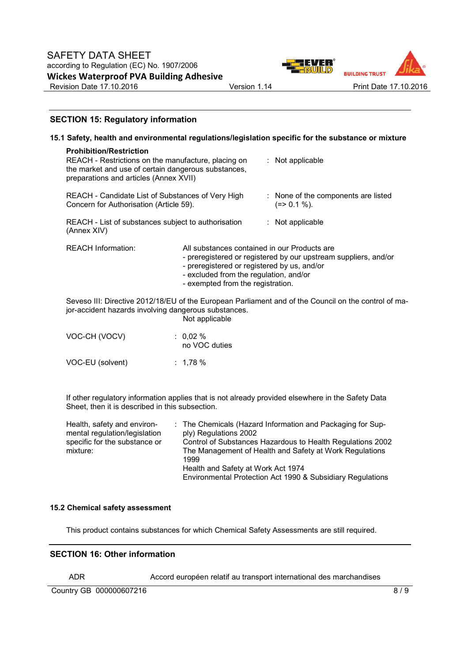

# **SECTION 15: Regulatory information**

|                                                                                                                                                                                        |                                                                                                                                                                            |  | 15.1 Safety, health and environmental regulations/legislation specific for the substance or mixture |
|----------------------------------------------------------------------------------------------------------------------------------------------------------------------------------------|----------------------------------------------------------------------------------------------------------------------------------------------------------------------------|--|-----------------------------------------------------------------------------------------------------|
| <b>Prohibition/Restriction</b><br>REACH - Restrictions on the manufacture, placing on<br>the market and use of certain dangerous substances,<br>preparations and articles (Annex XVII) |                                                                                                                                                                            |  | : Not applicable                                                                                    |
| REACH - Candidate List of Substances of Very High<br>Concern for Authorisation (Article 59).                                                                                           |                                                                                                                                                                            |  | : None of the components are listed<br>$(=>0.1\%)$ .                                                |
| REACH - List of substances subject to authorisation<br>(Annex XIV)                                                                                                                     |                                                                                                                                                                            |  | : Not applicable                                                                                    |
| <b>REACH Information:</b>                                                                                                                                                              | All substances contained in our Products are<br>- preregistered or registered by us, and/or<br>- excluded from the regulation, and/or<br>- exempted from the registration. |  | - preregistered or registered by our upstream suppliers, and/or                                     |
| Seveso III: Directive 2012/18/EU of the European Parliament and of the Council on the control of ma-<br>jor-accident hazards involving dangerous substances.<br>Not applicable         |                                                                                                                                                                            |  |                                                                                                     |
| VOC-CH (VOCV)                                                                                                                                                                          | : $0.02\%$<br>no VOC duties                                                                                                                                                |  |                                                                                                     |
| VOC-EU (solvent)                                                                                                                                                                       | : $1,78%$                                                                                                                                                                  |  |                                                                                                     |

If other regulatory information applies that is not already provided elsewhere in the Safety Data Sheet, then it is described in this subsection.

| Health, safety and environ-   | : The Chemicals (Hazard Information and Packaging for Sup- |
|-------------------------------|------------------------------------------------------------|
| mental regulation/legislation | ply) Regulations 2002                                      |
| specific for the substance or | Control of Substances Hazardous to Health Regulations 2002 |
| mixture:                      | The Management of Health and Safety at Work Regulations    |
|                               | 1999                                                       |
|                               | Health and Safety at Work Act 1974                         |
|                               | Environmental Protection Act 1990 & Subsidiary Regulations |

## **15.2 Chemical safety assessment**

This product contains substances for which Chemical Safety Assessments are still required.

## **SECTION 16: Other information**

ADR Accord européen relatif au transport international des marchandises

Country GB 000000607216 8/9